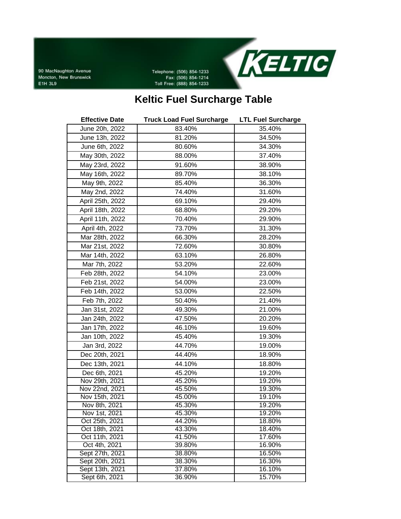90 MacNaughton Avenue Moncton, New Brunswick E1H 3L9

Telephone: (506) 854-1233 Fax: (506) 854-1214 Toll Free: (888) 854-1233



## **Keltic Fuel Surcharge Table**

| <b>Effective Date</b>           | <b>Truck Load Fuel Surcharge</b> | <b>LTL Fuel Surcharge</b> |
|---------------------------------|----------------------------------|---------------------------|
| June 20h, 2022                  | 83.40%                           | 35.40%                    |
| June 13h, 2022                  | 81.20%                           | 34.50%                    |
| June 6th, 2022                  | 80.60%                           | 34.30%                    |
| May 30th, 2022                  | 88.00%                           | 37.40%                    |
| May 23rd, 2022                  | 91.60%                           | 38.90%                    |
| May 16th, 2022                  | 89.70%                           | 38.10%                    |
| May 9th, 2022                   | 85.40%                           | 36.30%                    |
| May 2nd, 2022                   | 74.40%                           | 31.60%                    |
| April 25th, 2022                | 69.10%                           | 29.40%                    |
| April 18th, 2022                | 68.80%                           | 29.20%                    |
| April 11th, 2022                | 70.40%                           | 29.90%                    |
| April 4th, 2022                 | 73.70%                           | 31.30%                    |
| Mar 28th, 2022                  | 66.30%                           | 28.20%                    |
| Mar 21st, 2022                  | 72.60%                           | 30.80%                    |
| Mar 14th, 2022                  | 63.10%                           | 26.80%                    |
| Mar 7th, 2022                   | 53.20%                           | 22.60%                    |
| Feb 28th, 2022                  | 54.10%                           | 23.00%                    |
| Feb 21st, 2022                  | 54.00%                           | 23.00%                    |
| Feb 14th, 2022                  | 53.00%                           | 22.50%                    |
| Feb 7th, 2022                   | 50.40%                           | 21.40%                    |
| Jan 31st, 2022                  | 49.30%                           | 21.00%                    |
| Jan 24th, 2022                  | 47.50%                           | 20.20%                    |
| Jan 17th, 2022                  | 46.10%                           | 19.60%                    |
| Jan 10th, 2022                  | 45.40%                           | 19.30%                    |
| Jan 3rd, 2022                   | 44.70%                           | 19.00%                    |
| Dec 20th, 2021                  | 44.40%                           | 18.90%                    |
| Dec 13th, 2021                  | 44.10%                           | 18.80%                    |
| Dec 6th, 2021                   | 45.20%                           | 19.20%                    |
| Nov 29th, 2021                  | 45.20%                           | 19.20%                    |
| Nov 22nd, 2021                  | 45.50%                           | 19.30%                    |
| Nov 15th, 2021                  | 45.00%                           | 19.10%                    |
| Nov 8th, 2021                   | 45.30%                           | 19.20%                    |
| Nov 1st, 2021                   | 45.30%                           | 19.20%                    |
| Oct 25th, 2021                  | 44.20%                           | 18.80%                    |
| Oct 18th, 2021                  | 43.30%                           | 18.40%                    |
| Oct 11th, 2021<br>Oct 4th, 2021 | 41.50%<br>39.80%                 | 17.60%<br>16.90%          |
| Sept 27th, 2021                 | 38.80%                           | 16.50%                    |
| Sept 20th, 2021                 | 38.30%                           | 16.30%                    |
| Sept 13th, 2021                 | 37.80%                           | 16.10%                    |
| Sept 6th, 2021                  | 36.90%                           | 15.70%                    |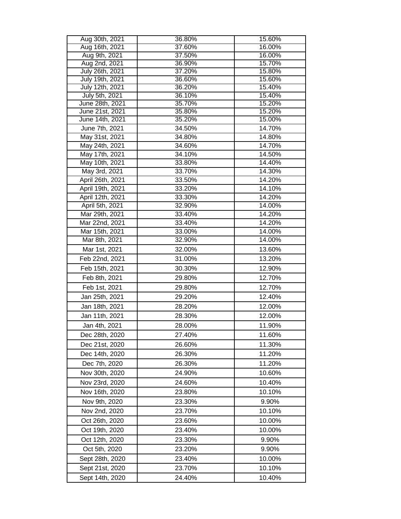| Aug 30th, 2021                      | 36.80%           | 15.60%           |
|-------------------------------------|------------------|------------------|
| Aug 16th, 2021                      | 37.60%           | 16.00%           |
| Aug 9th, 2021                       | 37.50%           | 16.00%           |
| Aug 2nd, 2021                       | 36.90%           | 15.70%           |
| July 26th, 2021                     | 37.20%           | 15.80%           |
| July 19th, 2021                     | 36.60%           | 15.60%           |
| July 12th, 2021                     | 36.20%           | 15.40%           |
| July 5th, 2021                      | 36.10%           | 15.40%           |
| June 28th, 2021<br>June 21st, 2021  | 35.70%<br>35.80% | 15.20%<br>15.20% |
| June 14th, 2021                     | 35.20%           | 15.00%           |
| June 7th, 2021                      | 34.50%           | 14.70%           |
| May 31st, 2021                      | 34.80%           | 14.80%           |
| May 24th, 2021                      | 34.60%           | 14.70%           |
| May 17th, 2021                      | 34.10%           | 14.50%           |
| May 10th, 2021                      | 33.80%           | 14.40%           |
| May 3rd, 2021                       | 33.70%           | 14.30%           |
| April 26th, 2021                    | 33.50%           | 14.20%           |
|                                     | 33.20%           | 14.10%           |
| April 19th, 2021                    | 33.30%           |                  |
| April 12th, 2021<br>April 5th, 2021 |                  | 14.20%           |
| Mar 29th, 2021                      | 32.90%           | 14.00%           |
|                                     | 33.40%           | 14.20%           |
| Mar 22nd, 2021                      | 33.40%           | 14.20%           |
| Mar 15th, 2021                      | 33.00%           | 14.00%           |
| Mar 8th, 2021                       | 32.90%           | 14.00%           |
| Mar 1st, 2021                       | 32.00%           | 13.60%           |
| Feb 22nd, 2021                      | 31.00%           | 13.20%           |
| Feb 15th, 2021                      | 30.30%           | 12.90%           |
| Feb 8th, 2021                       | 29.80%           | 12.70%           |
| Feb 1st, 2021                       | 29.80%           | 12.70%           |
| Jan 25th, 2021                      | 29.20%           | 12.40%           |
| Jan 18th, 2021                      | 28.20%           | 12.00%           |
| Jan 11th, 2021                      | 28.30%           | 12.00%           |
| Jan 4th, 2021                       | 28.00%           | 11.90%           |
|                                     | 27.40%           | 11.60%           |
| Dec 28th, 2020                      |                  |                  |
| Dec 21st, 2020                      | 26.60%           | 11.30%           |
| Dec 14th, 2020                      | 26.30%           | 11.20%           |
| Dec 7th, 2020                       | 26.30%           | 11.20%           |
| Nov 30th, 2020                      | 24.90%           | 10.60%           |
| Nov 23rd, 2020                      | 24.60%           | 10.40%           |
| Nov 16th, 2020                      | 23.80%           | 10.10%           |
| Nov 9th, 2020                       | 23.30%           | 9.90%            |
| Nov 2nd, 2020                       | 23.70%           | 10.10%           |
| Oct 26th, 2020                      | 23.60%           | 10.00%           |
|                                     |                  |                  |
| Oct 19th, 2020                      | 23.40%           | 10.00%           |
| Oct 12th, 2020                      | 23.30%           | 9.90%            |
| Oct 5th, 2020                       | 23.20%           | 9.90%            |
| Sept 28th, 2020                     | 23.40%           | 10.00%           |
| Sept 21st, 2020                     | 23.70%           | 10.10%           |
| Sept 14th, 2020                     | 24.40%           | 10.40%           |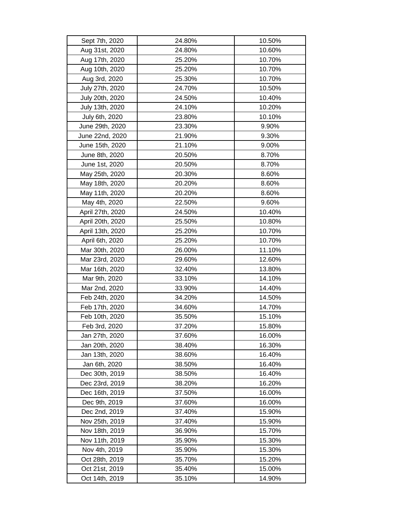| Sept 7th, 2020   | 24.80% | 10.50% |
|------------------|--------|--------|
| Aug 31st, 2020   | 24.80% | 10.60% |
| Aug 17th, 2020   | 25.20% | 10.70% |
| Aug 10th, 2020   | 25.20% | 10.70% |
| Aug 3rd, 2020    | 25.30% | 10.70% |
| July 27th, 2020  | 24.70% | 10.50% |
| July 20th, 2020  | 24.50% | 10.40% |
| July 13th, 2020  | 24.10% | 10.20% |
| July 6th, 2020   | 23.80% | 10.10% |
| June 29th, 2020  | 23.30% | 9.90%  |
| June 22nd, 2020  | 21.90% | 9.30%  |
| June 15th, 2020  | 21.10% | 9.00%  |
| June 8th, 2020   | 20.50% | 8.70%  |
| June 1st, 2020   | 20.50% | 8.70%  |
| May 25th, 2020   | 20.30% | 8.60%  |
| May 18th, 2020   | 20.20% | 8.60%  |
| May 11th, 2020   | 20.20% | 8.60%  |
| May 4th, 2020    | 22.50% | 9.60%  |
| April 27th, 2020 | 24.50% | 10.40% |
| April 20th, 2020 | 25.50% | 10.80% |
| April 13th, 2020 | 25.20% | 10.70% |
| April 6th, 2020  | 25.20% | 10.70% |
| Mar 30th, 2020   | 26.00% | 11.10% |
| Mar 23rd, 2020   | 29.60% | 12.60% |
| Mar 16th, 2020   | 32.40% | 13.80% |
| Mar 9th, 2020    | 33.10% | 14.10% |
| Mar 2nd, 2020    | 33.90% | 14.40% |
| Feb 24th, 2020   | 34.20% | 14.50% |
| Feb 17th, 2020   | 34.60% | 14.70% |
| Feb 10th, 2020   | 35.50% | 15.10% |
| Feb 3rd, 2020    | 37.20% | 15.80% |
| Jan 27th, 2020   | 37.60% | 16.00% |
| Jan 20th, 2020   | 38.40% | 16.30% |
| Jan 13th, 2020   | 38.60% | 16.40% |
| Jan 6th, 2020    | 38.50% | 16.40% |
| Dec 30th, 2019   | 38.50% | 16.40% |
| Dec 23rd, 2019   | 38.20% | 16.20% |
| Dec 16th, 2019   | 37.50% | 16.00% |
| Dec 9th, 2019    | 37.60% | 16.00% |
| Dec 2nd, 2019    | 37.40% | 15.90% |
| Nov 25th, 2019   | 37.40% | 15.90% |
| Nov 18th, 2019   | 36.90% | 15.70% |
| Nov 11th, 2019   | 35.90% | 15.30% |
| Nov 4th, 2019    | 35.90% | 15.30% |
| Oct 28th, 2019   | 35.70% | 15.20% |
| Oct 21st, 2019   | 35.40% | 15.00% |
| Oct 14th, 2019   | 35.10% | 14.90% |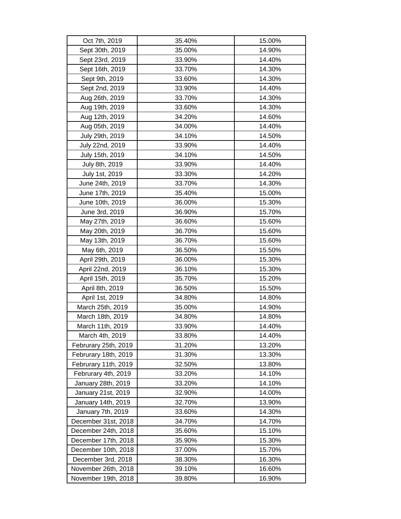| Oct 7th, 2019        | 35.40% | 15.00% |
|----------------------|--------|--------|
| Sept 30th, 2019      | 35.00% | 14.90% |
| Sept 23rd, 2019      | 33.90% | 14.40% |
| Sept 16th, 2019      | 33.70% | 14.30% |
| Sept 9th, 2019       | 33.60% | 14.30% |
| Sept 2nd, 2019       | 33.90% | 14.40% |
| Aug 26th, 2019       | 33.70% | 14.30% |
| Aug 19th, 2019       | 33.60% | 14.30% |
| Aug 12th, 2019       | 34.20% | 14.60% |
| Aug 05th, 2019       | 34.00% | 14.40% |
| July 29th, 2019      | 34.10% | 14.50% |
| July 22nd, 2019      | 33.90% | 14.40% |
| July 15th, 2019      | 34.10% | 14.50% |
| July 8th, 2019       | 33.90% | 14.40% |
| July 1st, 2019       | 33.30% | 14.20% |
| June 24th, 2019      | 33.70% | 14.30% |
| June 17th, 2019      | 35.40% | 15.00% |
| June 10th, 2019      | 36.00% | 15.30% |
| June 3rd, 2019       | 36.90% | 15.70% |
| May 27th, 2019       | 36.60% | 15.60% |
| May 20th, 2019       | 36.70% | 15.60% |
| May 13th, 2019       | 36.70% | 15.60% |
| May 6th, 2019        | 36.50% | 15.50% |
| April 29th, 2019     | 36.00% | 15.30% |
| April 22nd, 2019     | 36.10% | 15.30% |
| April 15th, 2019     | 35.70% | 15.20% |
| April 8th, 2019      | 36.50% | 15.50% |
| April 1st, 2019      | 34.80% | 14.80% |
| March 25th, 2019     | 35.00% | 14.90% |
| March 18th, 2019     | 34.80% | 14.80% |
| March 11th, 2019     | 33.90% | 14.40% |
| March 4th, 2019      | 33.80% | 14.40% |
| Februrary 25th, 2019 | 31.20% | 13.20% |
| Februrary 18th, 2019 | 31.30% | 13.30% |
| Februrary 11th, 2019 | 32.50% | 13.80% |
| Februrary 4th, 2019  | 33.20% | 14.10% |
| January 28th, 2019   | 33.20% | 14.10% |
| January 21st, 2019   | 32.90% | 14.00% |
| January 14th, 2019   | 32.70% | 13.90% |
| January 7th, 2019    | 33.60% | 14.30% |
| December 31st, 2018  | 34.70% | 14.70% |
| December 24th, 2018  | 35.60% | 15.10% |
| December 17th, 2018  | 35.90% | 15.30% |
| December 10th, 2018  | 37.00% | 15.70% |
| December 3rd, 2018   | 38.30% | 16.30% |
| November 26th, 2018  | 39.10% | 16.60% |
| November 19th, 2018  | 39.80% | 16.90% |